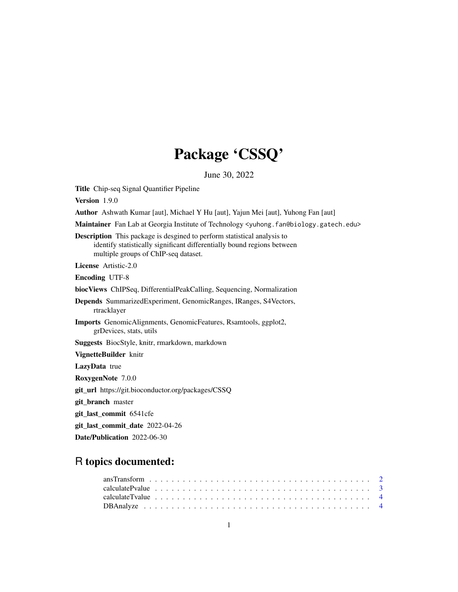# Package 'CSSQ'

June 30, 2022

<span id="page-0-0"></span>Title Chip-seq Signal Quantifier Pipeline Version 1.9.0 Author Ashwath Kumar [aut], Michael Y Hu [aut], Yajun Mei [aut], Yuhong Fan [aut] Maintainer Fan Lab at Georgia Institute of Technology <yuhong.fan@biology.gatech.edu> Description This package is desgined to perform statistical analysis to identify statistically significant differentially bound regions between multiple groups of ChIP-seq dataset. License Artistic-2.0 Encoding UTF-8 biocViews ChIPSeq, DifferentialPeakCalling, Sequencing, Normalization Depends SummarizedExperiment, GenomicRanges, IRanges, S4Vectors, rtracklayer Imports GenomicAlignments, GenomicFeatures, Rsamtools, ggplot2, grDevices, stats, utils Suggests BiocStyle, knitr, rmarkdown, markdown VignetteBuilder knitr LazyData true RoxygenNote 7.0.0 git\_url https://git.bioconductor.org/packages/CSSQ git\_branch master git\_last\_commit 6541cfe git\_last\_commit\_date 2022-04-26 Date/Publication 2022-06-30

# R topics documented: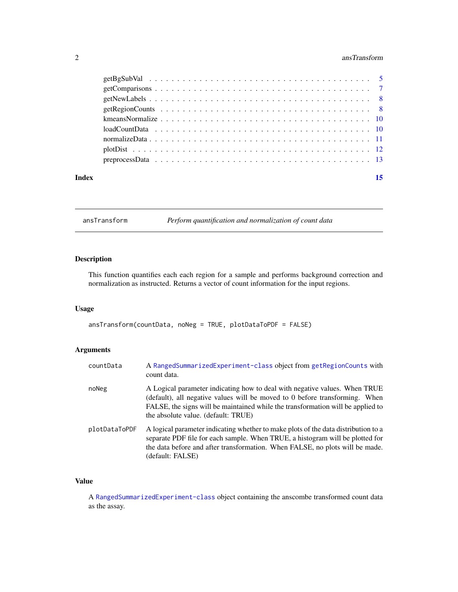# <span id="page-1-0"></span>2 ansTransform and  $\frac{1}{2}$  ansTransform and  $\frac{1}{2}$  ansTransform and  $\frac{1}{2}$  ansTransform and  $\frac{1}{2}$  and  $\frac{1}{2}$  and  $\frac{1}{2}$  and  $\frac{1}{2}$  and  $\frac{1}{2}$  and  $\frac{1}{2}$  and  $\frac{1}{2}$  and  $\frac{1}{2}$  and  $\frac{1}{2}$

| Index | 15 |
|-------|----|

<span id="page-1-1"></span>ansTransform *Perform quantification and normalization of count data*

# Description

This function quantifies each each region for a sample and performs background correction and normalization as instructed. Returns a vector of count information for the input regions.

### Usage

```
ansTransform(countData, noNeg = TRUE, plotDataToPDF = FALSE)
```
# Arguments

| countData     | A RangedSummarizedExperiment-class object from getRegionCounts with<br>count data.                                                                                                                                                                                                  |
|---------------|-------------------------------------------------------------------------------------------------------------------------------------------------------------------------------------------------------------------------------------------------------------------------------------|
| noNeg         | A Logical parameter indicating how to deal with negative values. When TRUE<br>(default), all negative values will be moved to 0 before transforming. When<br>FALSE, the signs will be maintained while the transformation will be applied to<br>the absolute value. (default: TRUE) |
| plotDataToPDF | A logical parameter indicating whether to make plots of the data distribution to a<br>separate PDF file for each sample. When TRUE, a histogram will be plotted for<br>the data before and after transformation. When FALSE, no plots will be made.<br>(default: FALSE)             |

# Value

A [RangedSummarizedExperiment-class](#page-0-0) object containing the anscombe transformed count data as the assay.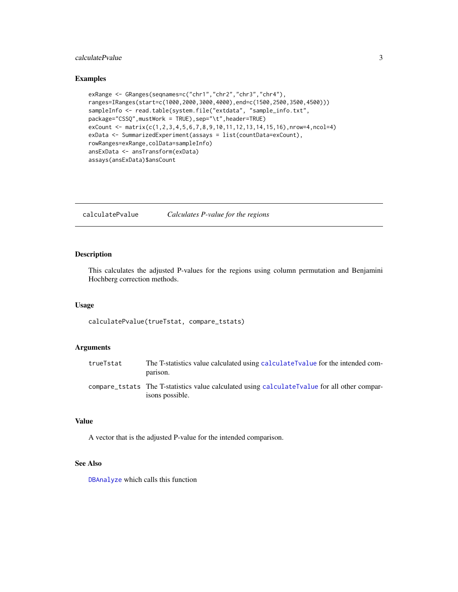# <span id="page-2-0"></span>calculatePvalue 3

#### Examples

```
exRange <- GRanges(seqnames=c("chr1","chr2","chr3","chr4"),
ranges=IRanges(start=c(1000,2000,3000,4000),end=c(1500,2500,3500,4500)))
sampleInfo <- read.table(system.file("extdata", "sample_info.txt",
package="CSSQ",mustWork = TRUE),sep="\t",header=TRUE)
exCount <- matrix(c(1,2,3,4,5,6,7,8,9,10,11,12,13,14,15,16),nrow=4,ncol=4)
exData <- SummarizedExperiment(assays = list(countData=exCount),
rowRanges=exRange,colData=sampleInfo)
ansExData <- ansTransform(exData)
assays(ansExData)$ansCount
```
<span id="page-2-1"></span>calculatePvalue *Calculates P-value for the regions*

# Description

This calculates the adjusted P-values for the regions using column permutation and Benjamini Hochberg correction methods.

#### Usage

calculatePvalue(trueTstat, compare\_tstats)

#### Arguments

| trueTstat | The T-statistics value calculated using calculate Tvalue for the intended com-<br>parison.                      |
|-----------|-----------------------------------------------------------------------------------------------------------------|
|           | compare_tstats The T-statistics value calculated using calculateTvalue for all other compar-<br>isons possible. |

# Value

A vector that is the adjusted P-value for the intended comparison.

#### See Also

[DBAnalyze](#page-3-2) which calls this function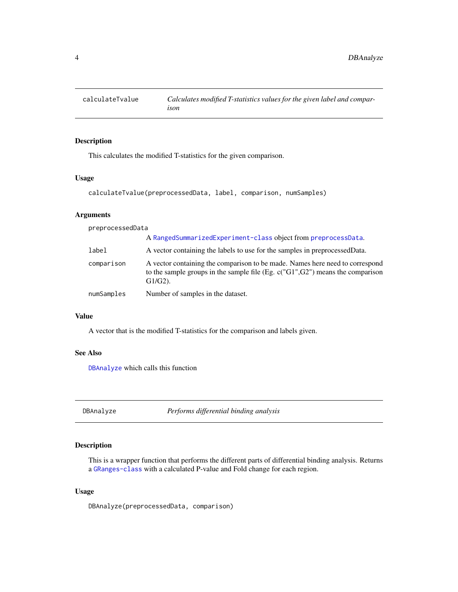<span id="page-3-1"></span><span id="page-3-0"></span>

# Description

This calculates the modified T-statistics for the given comparison.

### Usage

```
calculateTvalue(preprocessedData, label, comparison, numSamples)
```
# Arguments

| preprocessedData |                                                                                                                                                                                  |
|------------------|----------------------------------------------------------------------------------------------------------------------------------------------------------------------------------|
|                  | A RangedSummarizedExperiment-class object from preprocessData.                                                                                                                   |
| label            | A vector containing the labels to use for the samples in preprocessed Data.                                                                                                      |
| comparison       | A vector containing the comparison to be made. Names here need to correspond<br>to the sample groups in the sample file (Eg. $c("G1", G2")$ ) means the comparison<br>$G1/G2$ ). |
| numSamples       | Number of samples in the dataset.                                                                                                                                                |

#### Value

A vector that is the modified T-statistics for the comparison and labels given.

#### See Also

[DBAnalyze](#page-3-2) which calls this function

<span id="page-3-2"></span>DBAnalyze *Performs differential binding analysis*

#### Description

This is a wrapper function that performs the different parts of differential binding analysis. Returns a [GRanges-class](#page-0-0) with a calculated P-value and Fold change for each region.

#### Usage

DBAnalyze(preprocessedData, comparison)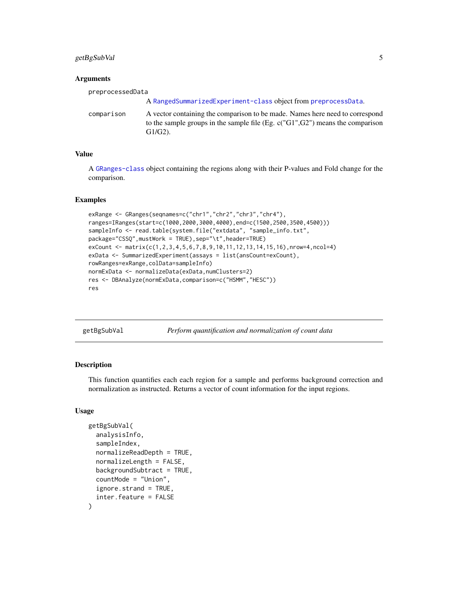# <span id="page-4-0"></span>getBgSubVal 5

#### **Arguments**

| preprocessedData |                                                                                                                                                                                |
|------------------|--------------------------------------------------------------------------------------------------------------------------------------------------------------------------------|
|                  | A RangedSummarizedExperiment-class object from preprocessData.                                                                                                                 |
| comparison       | A vector containing the comparison to be made. Names here need to correspond<br>to the sample groups in the sample file (Eg. $c("G1", G2")$ means the comparison<br>$G1/G2$ ). |

#### Value

A [GRanges-class](#page-0-0) object containing the regions along with their P-values and Fold change for the comparison.

#### Examples

```
exRange <- GRanges(seqnames=c("chr1","chr2","chr3","chr4"),
ranges=IRanges(start=c(1000,2000,3000,4000),end=c(1500,2500,3500,4500)))
sampleInfo <- read.table(system.file("extdata", "sample_info.txt",
package="CSSQ",mustWork = TRUE),sep="\t",header=TRUE)
exCount <- matrix(c(1,2,3,4,5,6,7,8,9,10,11,12,13,14,15,16),nrow=4,ncol=4)
exData <- SummarizedExperiment(assays = list(ansCount=exCount),
rowRanges=exRange,colData=sampleInfo)
normExData <- normalizeData(exData,numClusters=2)
res <- DBAnalyze(normExData,comparison=c("HSMM","HESC"))
res
```
<span id="page-4-1"></span>getBgSubVal *Perform quantification and normalization of count data*

# Description

This function quantifies each each region for a sample and performs background correction and normalization as instructed. Returns a vector of count information for the input regions.

# Usage

```
getBgSubVal(
  analysisInfo,
  sampleIndex,
  normalizeReadDepth = TRUE,
  normalizeLength = FALSE,
  backgroundSubtract = TRUE,
  countMode = "Union",
  ignore.strand = TRUE,
  inter.feature = FALSE
)
```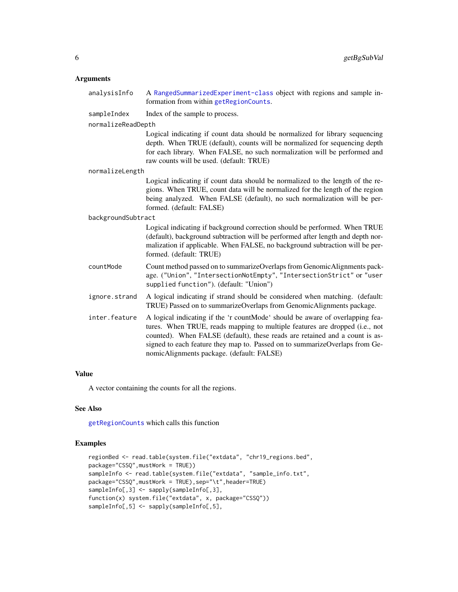# <span id="page-5-0"></span>Arguments

| analysisInfo       | A RangedSummarizedExperiment-class object with regions and sample in-<br>formation from within getRegionCounts.                                                                                                                                                                                                                                                         |
|--------------------|-------------------------------------------------------------------------------------------------------------------------------------------------------------------------------------------------------------------------------------------------------------------------------------------------------------------------------------------------------------------------|
| sampleIndex        | Index of the sample to process.                                                                                                                                                                                                                                                                                                                                         |
| normalizeReadDepth |                                                                                                                                                                                                                                                                                                                                                                         |
|                    | Logical indicating if count data should be normalized for library sequencing<br>depth. When TRUE (default), counts will be normalized for sequencing depth<br>for each library. When FALSE, no such normalization will be performed and<br>raw counts will be used. (default: TRUE)                                                                                     |
| normalizeLength    |                                                                                                                                                                                                                                                                                                                                                                         |
|                    | Logical indicating if count data should be normalized to the length of the re-<br>gions. When TRUE, count data will be normalized for the length of the region<br>being analyzed. When FALSE (default), no such normalization will be per-<br>formed. (default: FALSE)                                                                                                  |
| backgroundSubtract |                                                                                                                                                                                                                                                                                                                                                                         |
|                    | Logical indicating if background correction should be performed. When TRUE<br>(default), background subtraction will be performed after length and depth nor-<br>malization if applicable. When FALSE, no background subtraction will be per-<br>formed. (default: TRUE)                                                                                                |
| countMode          | Count method passed on to summarizeOverlaps from GenomicAlignments pack-<br>age. ("Union", "IntersectionNotEmpty", "IntersectionStrict" or "user<br>supplied function"). (default: "Union")                                                                                                                                                                             |
| ignore.strand      | A logical indicating if strand should be considered when matching. (default:<br>TRUE) Passed on to summarizeOverlaps from GenomicAlignments package.                                                                                                                                                                                                                    |
| inter.feature      | A logical indicating if the 'r countMode' should be aware of overlapping fea-<br>tures. When TRUE, reads mapping to multiple features are dropped (i.e., not<br>counted). When FALSE (default), these reads are retained and a count is as-<br>signed to each feature they map to. Passed on to summarizeOverlaps from Ge-<br>nomicAlignments package. (default: FALSE) |

# Value

A vector containing the counts for all the regions.

# See Also

[getRegionCounts](#page-7-1) which calls this function

```
regionBed <- read.table(system.file("extdata", "chr19_regions.bed",
package="CSSQ",mustWork = TRUE))
sampleInfo <- read.table(system.file("extdata", "sample_info.txt",
package="CSSQ",mustWork = TRUE),sep="\t",header=TRUE)
sampleInfo[,3] <- sapply(sampleInfo[,3],
function(x) system.file("extdata", x, package="CSSQ"))
sampleInfo[,5] <- sapply(sampleInfo[,5],
```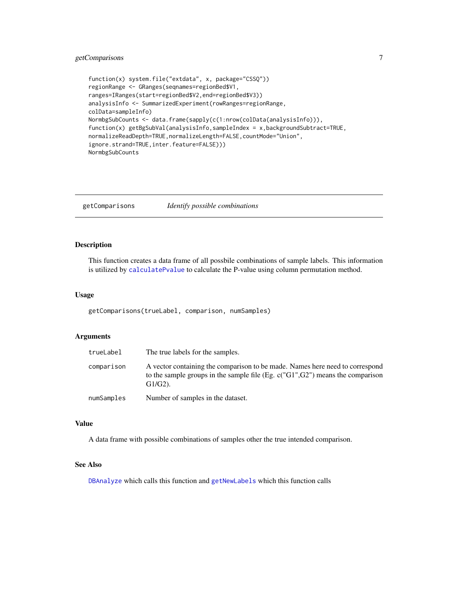# <span id="page-6-0"></span>getComparisons 7

```
function(x) system.file("extdata", x, package="CSSQ"))
regionRange <- GRanges(seqnames=regionBed$V1,
ranges=IRanges(start=regionBed$V2,end=regionBed$V3))
analysisInfo <- SummarizedExperiment(rowRanges=regionRange,
colData=sampleInfo)
NormbgSubCounts <- data.frame(sapply(c(1:nrow(colData(analysisInfo))),
function(x) getBgSubVal(analysisInfo,sampleIndex = x,backgroundSubtract=TRUE,
normalizeReadDepth=TRUE,normalizeLength=FALSE,countMode="Union",
ignore.strand=TRUE,inter.feature=FALSE)))
NormbgSubCounts
```
<span id="page-6-1"></span>getComparisons *Identify possible combinations*

#### Description

This function creates a data frame of all possbile combinations of sample labels. This information is utilized by [calculatePvalue](#page-2-1) to calculate the P-value using column permutation method.

#### Usage

getComparisons(trueLabel, comparison, numSamples)

#### **Arguments**

| trueLabel  | The true labels for the samples.                                                                                                                                               |
|------------|--------------------------------------------------------------------------------------------------------------------------------------------------------------------------------|
| comparison | A vector containing the comparison to be made. Names here need to correspond<br>to the sample groups in the sample file (Eg. $c("G1", G2")$ means the comparison<br>$G1/G2$ ). |
| numSamples | Number of samples in the dataset.                                                                                                                                              |

# Value

A data frame with possible combinations of samples other the true intended comparison.

# See Also

[DBAnalyze](#page-3-2) which calls this function and [getNewLabels](#page-7-2) which this function calls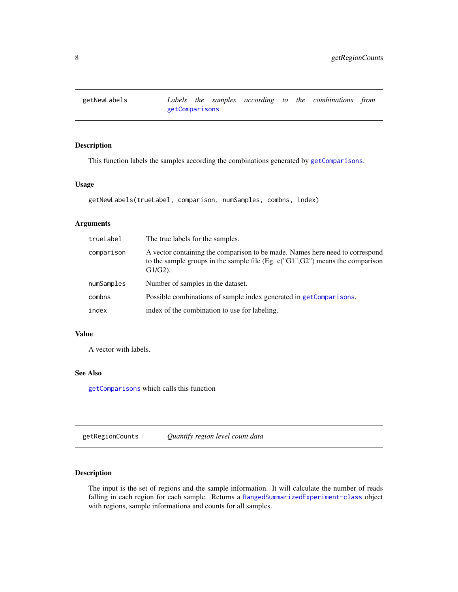<span id="page-7-2"></span><span id="page-7-0"></span>

# Description

This function labels the samples according the combinations generated by [getComparisons](#page-6-1).

# Usage

```
getNewLabels(trueLabel, comparison, numSamples, combns, index)
```
#### Arguments

| trueLabel  | The true labels for the samples.                                                                                                                                                 |
|------------|----------------------------------------------------------------------------------------------------------------------------------------------------------------------------------|
| comparison | A vector containing the comparison to be made. Names here need to correspond<br>to the sample groups in the sample file (Eg. $c("G1", G2")$ ) means the comparison<br>$G1/G2$ ). |
| numSamples | Number of samples in the dataset.                                                                                                                                                |
| combns     | Possible combinations of sample index generated in getComparisons.                                                                                                               |
| index      | index of the combination to use for labeling.                                                                                                                                    |

#### Value

A vector with labels.

#### See Also

[getComparisons](#page-6-1) which calls this function

<span id="page-7-1"></span>getRegionCounts *Quantify region level count data*

# Description

The input is the set of regions and the sample information. It will calculate the number of reads falling in each region for each sample. Returns a [RangedSummarizedExperiment-class](#page-0-0) object with regions, sample informationa and counts for all samples.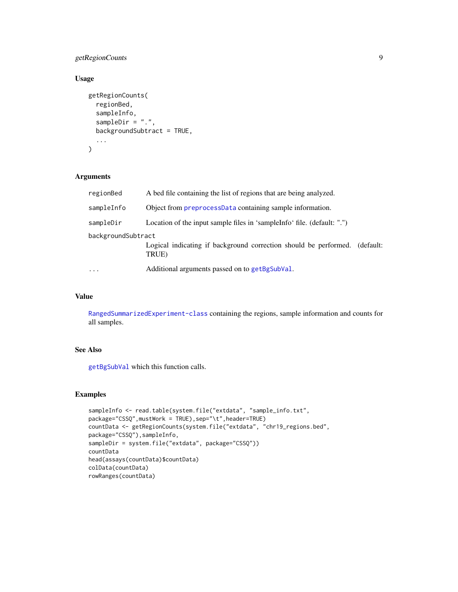# <span id="page-8-0"></span>getRegionCounts 9

# Usage

```
getRegionCounts(
  regionBed,
  sampleInfo,
  sampleDir = ".",
  backgroundSubtract = TRUE,
  ...
\mathcal{L}
```
# Arguments

| regionBed          | A bed file containing the list of regions that are being analyzed.                  |
|--------------------|-------------------------------------------------------------------------------------|
| sampleInfo         | Object from preprocessData containing sample information.                           |
| sampleDir          | Location of the input sample files in 'sampleInfo' file. (default: ".")             |
| backgroundSubtract | Logical indicating if background correction should be performed. (default:<br>TRUE) |
| $\cdots$           | Additional arguments passed on to getBgSubVal.                                      |

# Value

[RangedSummarizedExperiment-class](#page-0-0) containing the regions, sample information and counts for all samples.

# See Also

[getBgSubVal](#page-4-1) which this function calls.

```
sampleInfo <- read.table(system.file("extdata", "sample_info.txt",
package="CSSQ",mustWork = TRUE),sep="\t",header=TRUE)
countData <- getRegionCounts(system.file("extdata", "chr19_regions.bed",
package="CSSQ"),sampleInfo,
sampleDir = system.file("extdata", package="CSSQ"))
countData
head(assays(countData)$countData)
colData(countData)
rowRanges(countData)
```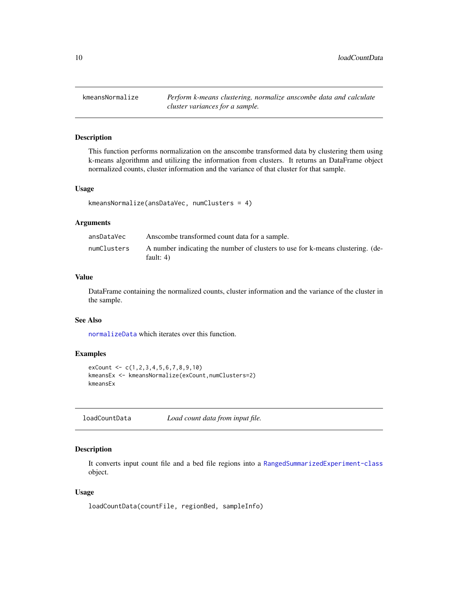<span id="page-9-1"></span><span id="page-9-0"></span>kmeansNormalize *Perform k-means clustering, normalize anscombe data and calculate cluster variances for a sample.*

### Description

This function performs normalization on the anscombe transformed data by clustering them using k-means algorithmn and utilizing the information from clusters. It returns an DataFrame object normalized counts, cluster information and the variance of that cluster for that sample.

#### Usage

```
kmeansNormalize(ansDataVec, numClusters = 4)
```
#### Arguments

| ansDataVec  | Anscombe transformed count data for a sample.                                                 |
|-------------|-----------------------------------------------------------------------------------------------|
| numClusters | A number indicating the number of clusters to use for k-means clustering. (de-<br>fault: $4)$ |

# Value

DataFrame containing the normalized counts, cluster information and the variance of the cluster in the sample.

#### See Also

[normalizeData](#page-10-1) which iterates over this function.

# Examples

```
exCount \leftarrow c(1, 2, 3, 4, 5, 6, 7, 8, 9, 10)kmeansEx <- kmeansNormalize(exCount,numClusters=2)
kmeansEx
```
loadCountData *Load count data from input file.*

#### Description

It converts input count file and a bed file regions into a [RangedSummarizedExperiment-class](#page-0-0) object.

#### Usage

loadCountData(countFile, regionBed, sampleInfo)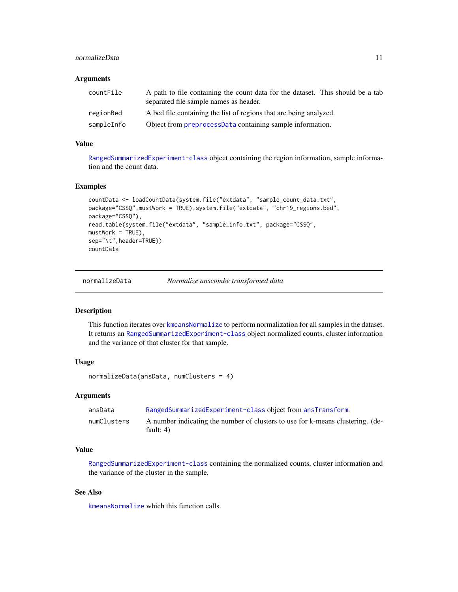# <span id="page-10-0"></span>normalizeData 11

#### **Arguments**

| countFile  | A path to file containing the count data for the dataset. This should be a tab<br>separated file sample names as header. |
|------------|--------------------------------------------------------------------------------------------------------------------------|
| regionBed  | A bed file containing the list of regions that are being analyzed.                                                       |
| sampleInfo | Object from preprocessData containing sample information.                                                                |

#### Value

[RangedSummarizedExperiment-class](#page-0-0) object containing the region information, sample information and the count data.

# Examples

```
countData <- loadCountData(system.file("extdata", "sample_count_data.txt",
package="CSSQ",mustWork = TRUE),system.file("extdata", "chr19_regions.bed",
package="CSSQ"),
read.table(system.file("extdata", "sample_info.txt", package="CSSQ",
mustWork = TRUE,
sep="\t",header=TRUE))
countData
```
<span id="page-10-1"></span>normalizeData *Normalize anscombe transformed data*

#### Description

This function iterates over [kmeansNormalize](#page-9-1) to perform normalization for all samples in the dataset. It returns an [RangedSummarizedExperiment-class](#page-0-0) object normalized counts, cluster information and the variance of that cluster for that sample.

# Usage

```
normalizeData(ansData, numClusters = 4)
```
#### Arguments

| ansData     | RangedSummarizedExperiment-class object from ansTransform.                                    |
|-------------|-----------------------------------------------------------------------------------------------|
| numClusters | A number indicating the number of clusters to use for k-means clustering. (de-<br>fault: $4)$ |

#### Value

[RangedSummarizedExperiment-class](#page-0-0) containing the normalized counts, cluster information and the variance of the cluster in the sample.

### See Also

[kmeansNormalize](#page-9-1) which this function calls.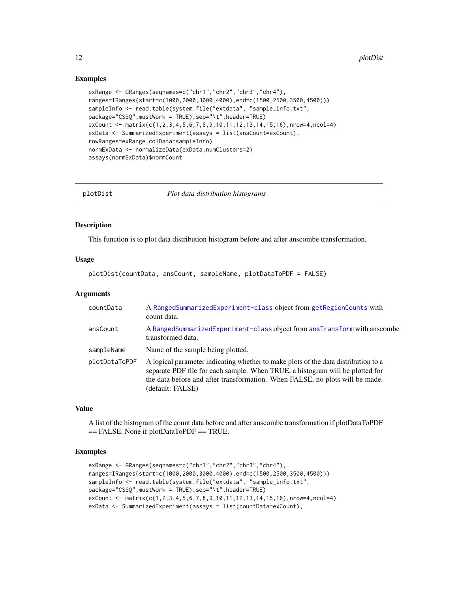### Examples

```
exRange <- GRanges(seqnames=c("chr1","chr2","chr3","chr4"),
ranges=IRanges(start=c(1000,2000,3000,4000),end=c(1500,2500,3500,4500)))
sampleInfo <- read.table(system.file("extdata", "sample_info.txt",
package="CSSQ",mustWork = TRUE),sep="\t",header=TRUE)
exCount <- matrix(c(1,2,3,4,5,6,7,8,9,10,11,12,13,14,15,16),nrow=4,ncol=4)
exData <- SummarizedExperiment(assays = list(ansCount=exCount),
rowRanges=exRange,colData=sampleInfo)
normExData <- normalizeData(exData,numClusters=2)
assays(normExData)$normCount
```
plotDist *Plot data distribution histograms*

#### Description

This function is to plot data distribution histogram before and after anscombe transformation.

# Usage

plotDist(countData, ansCount, sampleName, plotDataToPDF = FALSE)

#### Arguments

| countData     | A RangedSummarizedExperiment-class object from getRegionCounts with<br>count data.                                                                                                                                                                                      |
|---------------|-------------------------------------------------------------------------------------------------------------------------------------------------------------------------------------------------------------------------------------------------------------------------|
| ansCount      | A RangedSummarizedExperiment-class object from ansTransform with anscombe<br>transformed data.                                                                                                                                                                          |
| sampleName    | Name of the sample being plotted.                                                                                                                                                                                                                                       |
| plotDataToPDF | A logical parameter indicating whether to make plots of the data distribution to a<br>separate PDF file for each sample. When TRUE, a histogram will be plotted for<br>the data before and after transformation. When FALSE, no plots will be made.<br>(default: FALSE) |

#### Value

A list of the histogram of the count data before and after anscombe transformation if plotDataToPDF == FALSE. None if plotDataToPDF == TRUE.

```
exRange <- GRanges(seqnames=c("chr1","chr2","chr3","chr4"),
ranges=IRanges(start=c(1000,2000,3000,4000),end=c(1500,2500,3500,4500)))
sampleInfo <- read.table(system.file("extdata", "sample_info.txt",
package="CSSQ",mustWork = TRUE),sep="\t",header=TRUE)
exCount <- matrix(c(1,2,3,4,5,6,7,8,9,10,11,12,13,14,15,16),nrow=4,ncol=4)
exData <- SummarizedExperiment(assays = list(countData=exCount),
```
<span id="page-11-0"></span>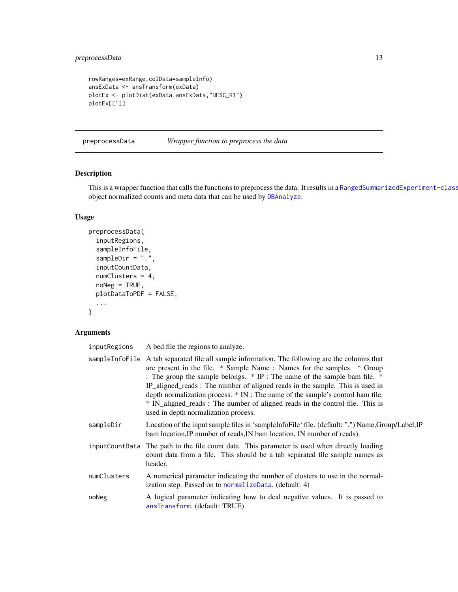```
rowRanges=exRange,colData=sampleInfo)
ansExData <- ansTransform(exData)
plotEx <- plotDist(exData,ansExData,"HESC_R1")
plotEx[[1]]
```
<span id="page-12-1"></span>preprocessData *Wrapper function to preprocess the data*

# Description

This is a wrapper function that calls the functions to preprocess the data. It results in a [RangedSummarizedExperiment-class](#page-0-0) object normalized counts and meta data that can be used by [DBAnalyze](#page-3-2).

# Usage

```
preprocessData(
  inputRegions,
  sampleInfoFile,
  sampleDir = ".",
  inputCountData,
  numClusters = 4,
  noNeg = TRUE,
 plotDataToPDF = FALSE,
  ...
)
```
# Arguments

| inputRegions | A bed file the regions to analyze.                                                                                                                                                                                                                                                                                                                                                                                                                                                                                                                |
|--------------|---------------------------------------------------------------------------------------------------------------------------------------------------------------------------------------------------------------------------------------------------------------------------------------------------------------------------------------------------------------------------------------------------------------------------------------------------------------------------------------------------------------------------------------------------|
|              | sampleInfoFile A tab separated file all sample information. The following are the columns that<br>are present in the file. * Sample Name: Names for the samples. * Group<br>: The group the sample belongs. * IP : The name of the sample bam file. *<br>IP_aligned_reads: The number of aligned reads in the sample. This is used in<br>depth normalization process. $*$ IN : The name of the sample's control bam file.<br>* IN_aligned_reads: The number of aligned reads in the control file. This is<br>used in depth normalization process. |
| sampleDir    | Location of the input sample files in 'sampleInfoFile' file. (default: ".") Name, Group/Label, IP<br>bam location, IP number of reads, IN bam location, IN number of reads).                                                                                                                                                                                                                                                                                                                                                                      |
|              | inputCountData The path to the file count data. This parameter is used when directly loading<br>count data from a file. This should be a tab separated file sample names as<br>header.                                                                                                                                                                                                                                                                                                                                                            |
| numClusters  | A numerical parameter indicating the number of clusters to use in the normal-<br>ization step. Passed on to normalizeData. (default: 4)                                                                                                                                                                                                                                                                                                                                                                                                           |
| noNeg        | A logical parameter indicating how to deal negative values. It is passed to<br>ansTransform. (default: TRUE)                                                                                                                                                                                                                                                                                                                                                                                                                                      |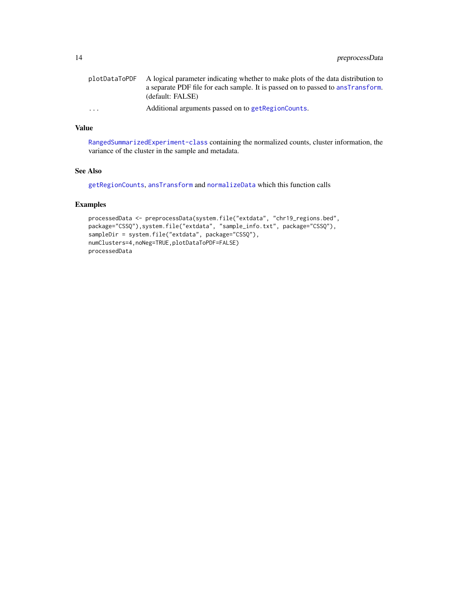<span id="page-13-0"></span>

| plotDataToPDF           | A logical parameter indicating whether to make plots of the data distribution to |
|-------------------------|----------------------------------------------------------------------------------|
|                         | a separate PDF file for each sample. It is passed on to passed to ansTransform.  |
|                         | (default: FALSE)                                                                 |
| $\cdot$ $\cdot$ $\cdot$ | Additional arguments passed on to getRegionCounts.                               |

# Value

[RangedSummarizedExperiment-class](#page-0-0) containing the normalized counts, cluster information, the variance of the cluster in the sample and metadata.

# See Also

[getRegionCounts](#page-7-1), [ansTransform](#page-1-1) and [normalizeData](#page-10-1) which this function calls

```
processedData <- preprocessData(system.file("extdata", "chr19_regions.bed",
package="CSSQ"),system.file("extdata", "sample_info.txt", package="CSSQ"),
sampleDir = system.file("extdata", package="CSSQ"),
numClusters=4,noNeg=TRUE,plotDataToPDF=FALSE)
processedData
```